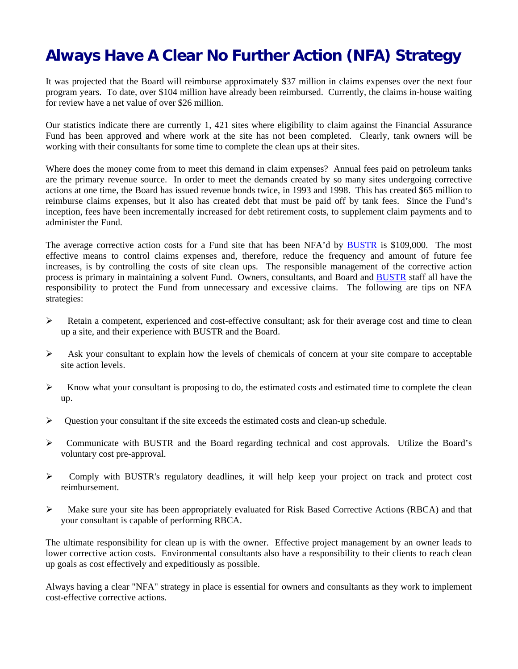## **Always Have A Clear No Further Action (NFA) Strategy**

It was projected that the Board will reimburse approximately \$37 million in claims expenses over the next four program years. To date, over \$104 million have already been reimbursed. Currently, the claims in-house waiting for review have a net value of over \$26 million.

Our statistics indicate there are currently 1, 421 sites where eligibility to claim against the Financial Assurance Fund has been approved and where work at the site has not been completed. Clearly, tank owners will be working with their consultants for some time to complete the clean ups at their sites.

Where does the money come from to meet this demand in claim expenses? Annual fees paid on petroleum tanks are the primary revenue source. In order to meet the demands created by so many sites undergoing corrective actions at one time, the Board has issued revenue bonds twice, in 1993 and 1998. This has created \$65 million to reimburse claims expenses, but it also has created debt that must be paid off by tank fees. Since the Fund's inception, fees have been incrementally increased for debt retirement costs, to supplement claim payments and to administer the Fund.

The average corrective action costs for a Fund site that has been NFA'd by [BUSTR](https://www.com.state.oh.us/odoc/sfm/bustr/) is \$109,000. The most effective means to control claims expenses and, therefore, reduce the frequency and amount of future fee increases, is by controlling the costs of site clean ups. The responsible management of the corrective action process is primary in maintaining a solvent Fund. Owners, consultants, and Board and [BUSTR](https://www.com.state.oh.us/odoc/sfm/bustr/) staff all have the responsibility to protect the Fund from unnecessary and excessive claims. The following are tips on NFA strategies:

- ¾ Retain a competent, experienced and cost-effective consultant; ask for their average cost and time to clean up a site, and their experience with BUSTR and the Board.
- $\triangleright$  Ask your consultant to explain how the levels of chemicals of concern at your site compare to acceptable site action levels.
- $\triangleright$  Know what your consultant is proposing to do, the estimated costs and estimated time to complete the clean up.
- $\triangleright$  Question your consultant if the site exceeds the estimated costs and clean-up schedule.
- $\triangleright$  Communicate with BUSTR and the Board regarding technical and cost approvals. Utilize the Board's voluntary cost pre-approval.
- $\triangleright$  Comply with BUSTR's regulatory deadlines, it will help keep your project on track and protect cost reimbursement.
- ¾ Make sure your site has been appropriately evaluated for Risk Based Corrective Actions (RBCA) and that your consultant is capable of performing RBCA.

The ultimate responsibility for clean up is with the owner. Effective project management by an owner leads to lower corrective action costs. Environmental consultants also have a responsibility to their clients to reach clean up goals as cost effectively and expeditiously as possible.

Always having a clear "NFA" strategy in place is essential for owners and consultants as they work to implement cost-effective corrective actions.